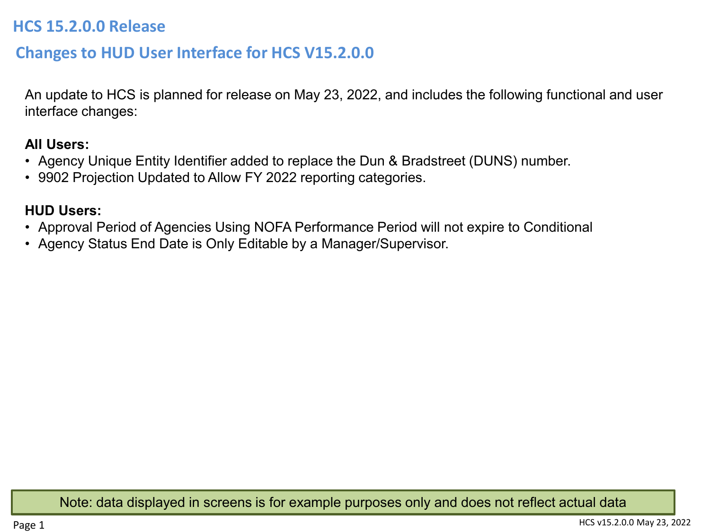## **HCS 15.2.0.0 Release**

# **Changes to HUD User Interface for HCS V15.2.0.0**

An update to HCS is planned for release on May 23, 2022, and includes the following functional and user interface changes:

## **All Users:**

- Agency Unique Entity Identifier added to replace the Dun & Bradstreet (DUNS) number.
- 9902 Projection Updated to Allow FY 2022 reporting categories.

## **HUD Users:**

- Approval Period of Agencies Using NOFA Performance Period will not expire to Conditional
- Agency Status End Date is Only Editable by a Manager/Supervisor.

Note: data displayed in screens is for example purposes only and does not reflect actual data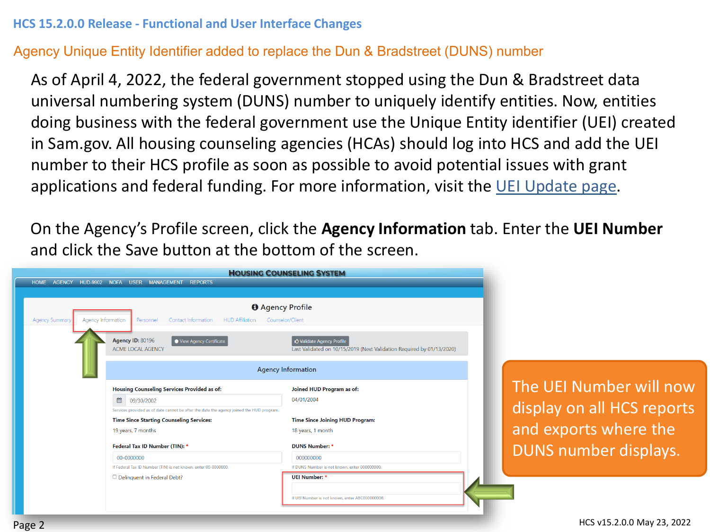## Agency Unique Entity Identifier added to replace the Dun & Bradstreet (DUNS) number

As of April 4, 2022, the federal government stopped using the Dun & Bradstreet data universal numbering system (DUNS) number to uniquely identify entities. Now, entities doing business with the federal government use the Unique Entity identifier (UEI) created in Sam.gov. All housing counseling agencies (HCAs) should log into HCS and add the UEI number to their HCS profile as soon as possible to avoid potential issues with grant applications and federal funding. For more information, visit the [UEI Update page](https://www.gsa.gov/about-us/organization/federal-acquisition-service/office-of-systems-management/integrated-award-environment-iae/iae-systems-information-kit/unique-entity-identifier-update).

On the Agency's Profile screen, click the **Agency Information** tab. Enter the **UEI Number**  and click the Save button at the bottom of the screen.

|                |                                                                                          | <b>HOUSING COUNSELING SYSTEM</b>                                      |  |  |  |  |
|----------------|------------------------------------------------------------------------------------------|-----------------------------------------------------------------------|--|--|--|--|
|                | HOME AGENCY HUD-9902 NOFA USER MANAGEMENT<br><b>REPORTS</b>                              |                                                                       |  |  |  |  |
|                |                                                                                          |                                                                       |  |  |  |  |
|                |                                                                                          | <b>O</b> Agency Profile                                               |  |  |  |  |
| Agency Summary | Agency Information<br>Contact Information<br><b>HUD Affiliation</b><br>Personnel         | Counselor/Client                                                      |  |  |  |  |
|                |                                                                                          |                                                                       |  |  |  |  |
|                | <b>Agency ID: 80196</b><br>View Agency Certificate                                       | <b>△ Validate Agency Profile</b>                                      |  |  |  |  |
|                | <b>ACME LOCAL AGENCY</b>                                                                 | Last Validated on 10/15/2019 (Next Validation Required by 01/13/2020) |  |  |  |  |
|                |                                                                                          |                                                                       |  |  |  |  |
|                | <b>Agency Information</b>                                                                |                                                                       |  |  |  |  |
|                | <b>Housing Counseling Services Provided as of:</b>                                       | Joined HUD Program as of:                                             |  |  |  |  |
|                | ■<br>09/30/2002                                                                          | 04/01/2004                                                            |  |  |  |  |
|                | Services provided as of date cannot be after the date the agency joined the HUD program. |                                                                       |  |  |  |  |
|                | <b>Time Since Starting Counseling Services:</b>                                          | <b>Time Since Joining HUD Program:</b>                                |  |  |  |  |
|                | 19 years, 7 months                                                                       | 18 years, 1 month                                                     |  |  |  |  |
|                | Federal Tax ID Number (TIN): *                                                           | <b>DUNS Number: *</b>                                                 |  |  |  |  |
|                | 00-0000000                                                                               | 000000000                                                             |  |  |  |  |
|                | If Federal Tax ID Number (TIN) is not known, enter 00-0000000.                           | If DUNS Number is not known, enter 000000000.                         |  |  |  |  |
|                | D Delinquent in Federal Debt?                                                            | <b>UEI Number: *</b>                                                  |  |  |  |  |
|                |                                                                                          |                                                                       |  |  |  |  |
|                |                                                                                          | If UEI Number is not known, enter ABC000000000,                       |  |  |  |  |

e UEI Number will now splay on all HCS reports d exports where the JNS number displays.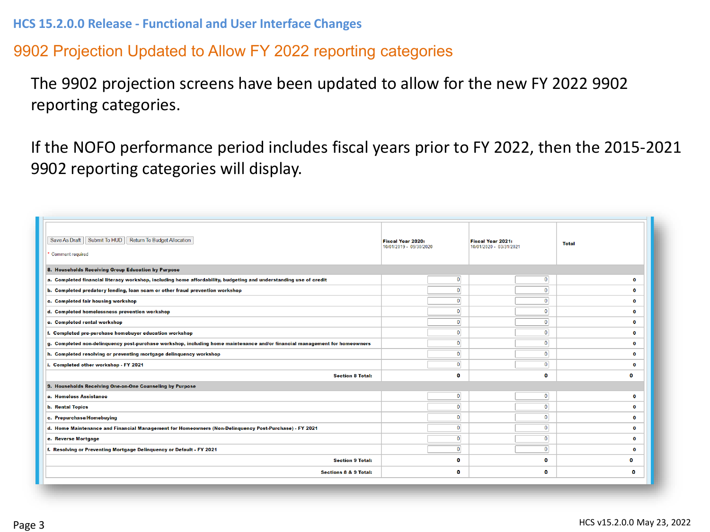# 9902 Projection Updated to Allow FY 2022 reporting categories

The 9902 projection screens have been updated to allow for the new FY 2022 9902 reporting categories.

If the NOFO performance period includes fiscal years prior to FY 2022, then the 2015-2021 9902 reporting categories will display.

| Save As Draft   Submit To HUD<br>Return To Budget Allocation<br>Comment required                                           | Fiscal Year 2020:<br>10/01/2019 - 09/30/2020 | Fiscal Year 2021:<br>10/01/2020 - 03/31/2021 | <b>Total</b> |  |
|----------------------------------------------------------------------------------------------------------------------------|----------------------------------------------|----------------------------------------------|--------------|--|
| 8. Households Receiving Group Education by Purpose                                                                         |                                              |                                              |              |  |
| a. Completed financial literacy workshop, including home affordability, budgeting and understanding use of credit          | $\overline{0}$                               | $\bf{0}$                                     | $\mathbf{o}$ |  |
| b. Completed predatory lending, loan scam or other fraud prevention workshop                                               | $\overline{0}$                               | $\Omega$                                     | $\bullet$    |  |
| c. Completed fair housing workshop                                                                                         | $\overline{0}$                               | $\Omega$                                     | $\Omega$     |  |
| d. Completed homelessness prevention workshop                                                                              | $\bullet$                                    | $\bf{0}$                                     | $\mathbf{o}$ |  |
| e. Completed rental workshop                                                                                               | $\overline{\mathbf{0}}$                      | $\mathbf 0$                                  | $\mathbf{o}$ |  |
| f. Completed pre-purchase homebuyer education workshop                                                                     | $\overline{0}$                               | $\overline{0}$                               | $\Omega$     |  |
| g. Completed non-delinquency post-purchase workshop, including home maintenance and/or financial management for homeowners | $\overline{0}$                               | $\overline{0}$                               | $\mathbf{o}$ |  |
| h. Completed resolving or preventing mortgage delinquency workshop                                                         | $\bullet$                                    | $\overline{0}$                               | $\bullet$    |  |
| i. Completed other workshop - FY 2021                                                                                      | $\overline{0}$                               | $\overline{0}$                               | $\mathbf{o}$ |  |
| <b>Section 8 Total:</b>                                                                                                    | $\mathbf{0}$                                 | o                                            | o            |  |
| 9. Households Receiving One-on-One Counseling by Purpose                                                                   |                                              |                                              |              |  |
| a. Homeless Assistance                                                                                                     | $\overline{0}$                               | $\overline{0}$                               | $\mathbf{o}$ |  |
| <b>b.</b> Rental Topics                                                                                                    | $\bullet$                                    | $\overline{0}$                               | $\bullet$    |  |
| c. Prepurchase/Homebuying                                                                                                  | $\mathbf{0}$                                 | $\mathbf{0}$                                 | $\mathbf{o}$ |  |
| d. Home Maintenance and Financial Management for Homeowners (Non-Delinquency Post-Purchase) - FY 2021                      | $\overline{0}$                               | $\mathbf{0}$                                 | $\mathbf{o}$ |  |
| e. Reverse Mortgage                                                                                                        | $\bullet$                                    | $\mathbf{0}$                                 | $\mathbf{o}$ |  |
| f. Resolving or Preventing Mortgage Delinguency or Default - FY 2021                                                       | $\overline{0}$                               | $\overline{0}$                               | $\mathbf{o}$ |  |
| <b>Section 9 Total:</b>                                                                                                    | $\mathbf{0}$                                 | o                                            | o            |  |
| <b>Sections 8 &amp; 9 Total:</b>                                                                                           | $\mathbf{0}$                                 | o                                            | o            |  |
|                                                                                                                            |                                              |                                              |              |  |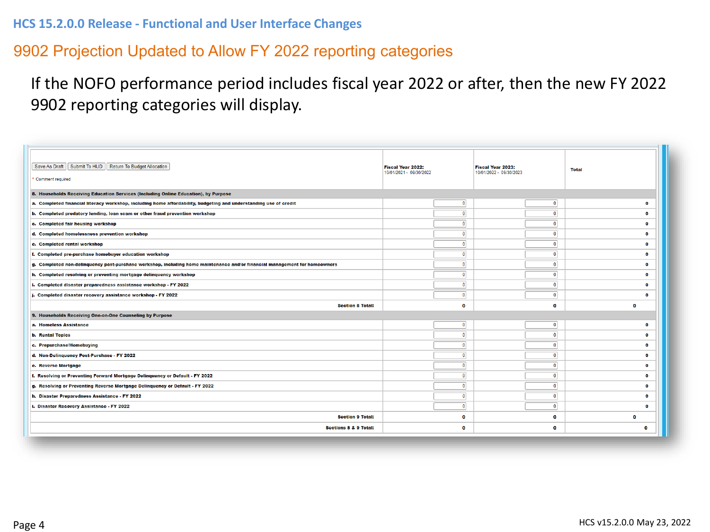## 9902 Projection Updated to Allow FY 2022 reporting categories

# If the NOFO performance period includes fiscal year 2022 or after, then the new FY 2022 9902 reporting categories will display.

| Save As Draft   Submit To HUD   Return To Budget Allocation<br><b>Comment required</b>                                     | <b>Fiscal Year 2022:</b><br>10/01/2021 - 09/30/2022 | <b>Fiscal Year 2023:</b><br>10/01/2022 - 09/30/2023 | <b>Total</b> |
|----------------------------------------------------------------------------------------------------------------------------|-----------------------------------------------------|-----------------------------------------------------|--------------|
| 8. Households Receiving Education Services (Including Online Education), by Purpose                                        |                                                     |                                                     |              |
| a. Completed financial literacy workshop, including home affordability, budgeting and understanding use of credit          | $\mathbf{0}$                                        | $\mathbf 0$                                         | $\Omega$     |
| b. Completed predatory lending, loan scam or other fraud prevention workshop                                               | $\mathbf{0}$                                        | $\mathbf{0}$                                        | $\Omega$     |
| c. Completed fair housing workshop                                                                                         | $\mathbf{0}$                                        | $\mathbf{0}$                                        | $\Omega$     |
| d. Completed homelessness prevention workshop                                                                              | $\mathbf{0}$                                        | $\mathbf{0}$                                        | $\Omega$     |
| e. Completed rental workshop                                                                                               | $\mathbf{0}$                                        | $\mathbf{0}$                                        | $\Omega$     |
| f. Completed pre-purchase homebuyer education workshop                                                                     | $\mathbf{0}$                                        | $\overline{0}$                                      | $\Omega$     |
| g. Completed non-delinguency post-purchase workshop, including home maintenance and/or financial management for homeowners | $\mathbf{0}$                                        | $\mathbf{0}$                                        | $\circ$      |
| h. Completed resolving or preventing mortgage delinquency workshop                                                         | $\mathbf{0}$                                        | $\mathbf{0}$                                        | $\Omega$     |
| i. Completed disaster preparedness assistance workshop - FY 2022                                                           | $\mathbf{0}$                                        | $\mathbf{0}$                                        | $\Omega$     |
| j. Completed disaster recovery assistance workshop - FY 2022                                                               | $\mathbf{0}$                                        | $\bullet$                                           | $\sqrt{2}$   |
| <b>Section 8 Total:</b>                                                                                                    | $\mathbf{o}$                                        | $\mathbf{o}$                                        | $\Omega$     |
| 9. Households Receiving One-on-One Counseling by Purpose                                                                   |                                                     |                                                     |              |
| a. Homeless Assistance                                                                                                     | $\mathbf{0}$                                        | $\mathbf 0$                                         | $\mathbf{a}$ |
| <b>b. Rental Topics</b>                                                                                                    | $\mathbf{0}$                                        | $\overline{0}$                                      | $\mathbf{o}$ |
| c. Prepurchase/Homebuying                                                                                                  | $\mathbf{0}$                                        | $\mathbf{0}$                                        | $\bullet$    |
| d. Non-Delinquency Post-Purchase - FY 2022                                                                                 | $\mathbf{0}$                                        | $\mathbf{0}$                                        | $\Omega$     |
| e. Reverse Mortgage                                                                                                        | $\mathbf{0}$                                        | $\mathbf{0}$                                        | $\Omega$     |
| f. Resolving or Preventing Forward Mortgage Delinquency or Default - FY 2022                                               | $\mathbf{0}$                                        | $\mathbf{0}$                                        | $\Omega$     |
| g. Resolving or Preventing Reverse Mortgage Delinquency or Default - FY 2022                                               | $\mathbf{0}$                                        | $\mathbf{0}$                                        | $\Omega$     |
| h. Disaster Preparedness Assistance - FY 2022                                                                              | $\mathbf{0}$                                        | $\mathbf{0}$                                        | $\Omega$     |
| i. Disaster Recovery Assistance - FY 2022                                                                                  | $\overline{0}$                                      | $\overline{0}$                                      | $\Omega$     |
| <b>Section 9 Total:</b>                                                                                                    | 0                                                   | $\bf{0}$                                            | $\bullet$    |
| Sections 8 & 9 Total:                                                                                                      | $\mathbf{o}$                                        | $\bullet$                                           | $\Omega$     |
|                                                                                                                            |                                                     |                                                     |              |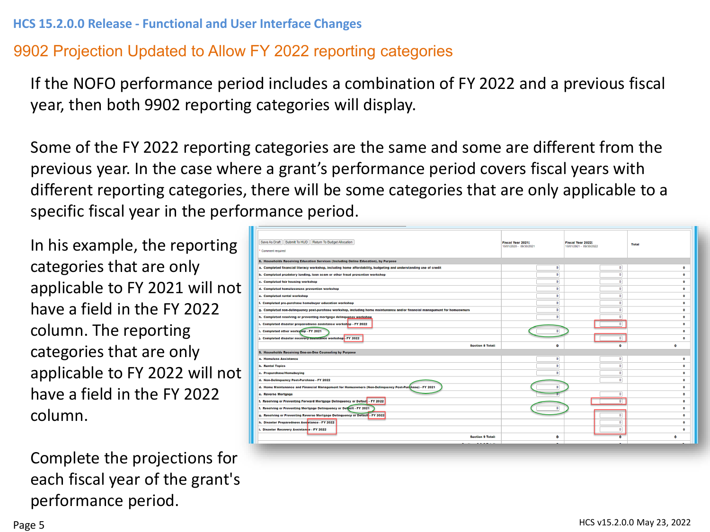# 9902 Projection Updated to Allow FY 2022 reporting categories

If the NOFO performance period includes a combination of FY 2022 and a previous fiscal year, then both 9902 reporting categories will display.

Some of the FY 2022 reporting categories are the same and some are different from the previous year. In the case where a grant's performance period covers fiscal years with different reporting categories, there will be some categories that are only applicable to a specific fiscal year in the performance period.

In his example, the reporting categories that are only applicable to FY 2021 will not have a field in the FY 2022 column. The reporting categories that are only applicable to FY 2022 will not have a field in the FY 2022 column.

Complete the projections for each fiscal year of the grant's performance period.

| Save As Draft   Submit To HUD   Return To Budget Allocation<br>Comment required                                            | <b>Fiscal Year 2021:</b><br>10/01/2020 - 09/30/2021 | <b>Fiscal Year 2022:</b><br>10/01/2021 - 09/30/2022 | <b>Total</b> |
|----------------------------------------------------------------------------------------------------------------------------|-----------------------------------------------------|-----------------------------------------------------|--------------|
| 8. Households Receiving Education Services (Including Online Education), by Purpose                                        |                                                     |                                                     |              |
| a. Completed financial literacy workshop, including home affordability, budgeting and understanding use of credit          | $\bullet$                                           | $\bullet$                                           | $\Omega$     |
| b. Completed predatory lending, loan scam or other fraud prevention workshop                                               | $\Omega$                                            | $\bullet$                                           | $\bullet$    |
| c. Completed fair housing workshop                                                                                         | $\theta$                                            | $\bullet$                                           | $\bullet$    |
| d. Completed homelessness prevention workshop                                                                              | $\mathbf{0}$                                        | $\bullet$                                           | $\bullet$    |
| e. Completed rental workshop                                                                                               | $\overline{0}$                                      | $\bullet$                                           | $\bullet$    |
| f. Completed pre-purchase homebuyer education workshop                                                                     | $\bullet$                                           | $\bullet$                                           | $\bullet$    |
| q. Completed non-delinquency post-purchase workshop, including home maintenance and/or financial management for homeowners | $\overline{0}$                                      | $\overline{0}$                                      | $\bullet$    |
| h. Completed resolving or preventing mortgage delinquency workshop                                                         | $\overline{0}$                                      | $\Omega$                                            | $\bullet$    |
| i. Completed disaster preparedness assistance workshop - FY 2022                                                           |                                                     | $\bullet$                                           | $\bullet$    |
| i. Completed other workshop - FY 2021                                                                                      | $\Omega$                                            |                                                     | $\circ$      |
| j. Completed disaster recovery assistance workshop. FY 2022                                                                |                                                     | $\bullet$                                           | $\circ$      |
| <b>Section 8 Total:</b>                                                                                                    | $\Omega$                                            | $\bullet$                                           | $\bullet$    |
| 9. Households Receiving One-on-One Counseling by Purpose                                                                   |                                                     |                                                     |              |
| a. Homeless Assistance                                                                                                     | $\bullet$                                           | $\bullet$                                           | $\circ$      |
| <b>b. Rental Topics</b>                                                                                                    | $\overline{0}$                                      | $\bullet$                                           | $\circ$      |
| c. Prepurchase/Homebuying                                                                                                  | $\overline{0}$                                      | $\bullet$                                           | ۰            |
| d. Non-Delinquency Post-Purchase - FY 2022                                                                                 |                                                     | $\bullet$                                           | $\bullet$    |
| d. Home Maintenance and Financial Management for Homeowners (Non-Delinquency Post-Purchase) - FY 2021                      |                                                     |                                                     | $\Omega$     |
| e. Reverse Mortgage                                                                                                        |                                                     | $\bullet$                                           | $\bullet$    |
| f. Resolving or Preventing Forward Mortgage Delinquency or Defaul: - FY 2022                                               |                                                     | $\overline{0}$                                      | $\bullet$    |
| f. Resolving or Preventing Mortgage Delinquency or Default - FY 2021                                                       |                                                     |                                                     | $\Omega$     |
| g. Resolving or Preventing Reverse Mortgage Delinquency or Default - FY 2022                                               |                                                     | $\circ$                                             | $\bullet$    |
| h. Disaster Preparedness Assistance - FY 2022                                                                              |                                                     | $\circ$                                             | $\bullet$    |
| i. Disaster Recovery Assistance - FY 2022                                                                                  |                                                     | $\bullet$                                           | $\bullet$    |
| <b>Section 9 Total:</b>                                                                                                    | $\bullet$                                           | $\mathbf{a}$                                        | $\bullet$    |
| <u> Rostiano B. B. D. Tatali</u>                                                                                           |                                                     |                                                     |              |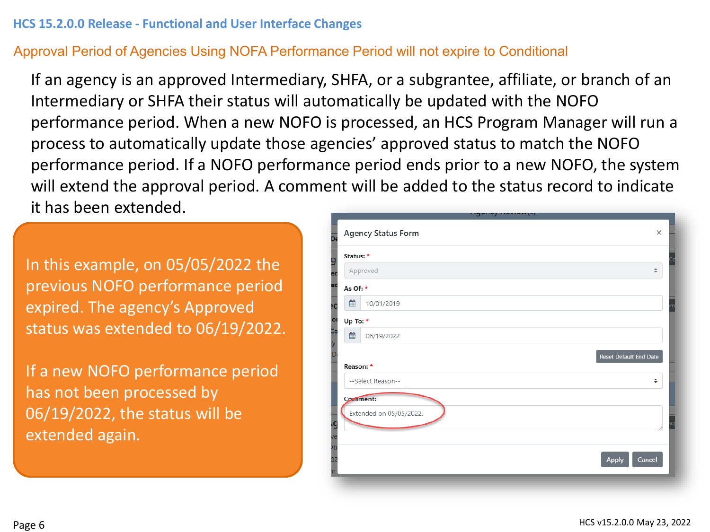## Approval Period of Agencies Using NOFA Performance Period will not expire to Conditional

If an agency is an approved Intermediary, SHFA, or a subgrantee, affiliate, or branch of an Intermediary or SHFA their status will automatically be updated with the NOFO performance period. When a new NOFO is processed, an HCS Program Manager will run a process to automatically update those agencies' approved status to match the NOFO performance period. If a NOFO performance period ends prior to a new NOFO, the system will extend the approval period. A comment will be added to the status record to indicate it has been extended.

In this example, on 05/05/2022 the previous NOFO performance period expired. The agency's Approved status was extended to 06/19/2022.

If a new NOFO performance period has not been processed by 06/19/2022, the status will be extended again.

|                       |           | - - - - - -               |          |
|-----------------------|-----------|---------------------------|----------|
| 5.                    |           | <b>Agency Status Form</b> | $\times$ |
| g                     | Status: * |                           |          |
| ec                    |           | Approved                  | ÷        |
| ec                    | As Of: *  |                           |          |
| ١C                    | ▦         | 10/01/2019                |          |
| o                     | Up To: *  |                           |          |
| Do<br>y               | ≝         | 06/19/2022                |          |
| D                     |           | Reset Default End Date    |          |
|                       | Reason: * |                           |          |
|                       |           | --Select Reason--         | $\div$   |
|                       | Comment:  |                           |          |
|                       |           | Extended on 05/05/2022.   |          |
| g                     |           |                           |          |
| ve<br>$\overline{50}$ |           |                           |          |
| D2                    |           | Cancel<br><b>Apply</b>    |          |
|                       |           |                           |          |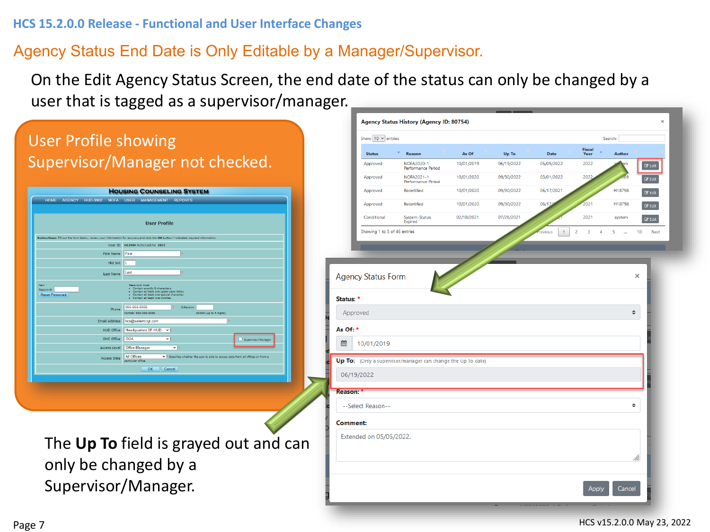## Agency Status End Date is Only Editable by a Manager/Supervisor.

On the Edit Agency Status Screen, the end date of the status can only be changed by a user that is tagged as a supervisor/manager.

#### Agency Status History (Agency ID: 80754) User Profile showing Show  $10 \times$  entries Search: **Fiscal** Status Reason As Of Up To Date Year Author Supervisor/Manager not checked. **NOFA2020-1** 10/01/2019 06/19/2022 05/05/2022 2022 Approved Performance Period NOFA2021-1 10/01/2020 09/30/2022 03/01/2022 Approved 202 Performance Period **HOUSING COUNSELING SYSTEM** Approved Recertified 10/01/2020 09/30/2022 06/17/2021 H18798 AGENCY HUD-9902 NOFA USER MANAGEMENT REPORTS Approved Recertified 10/01/2020 09/30/2022  $06/1$ H18798 Conditiona System-Status<br>Expired 02/18/2021  $07/26/202$ 2021 **Hser Profile** Showing 1 to 5 of 46 entries User ID First Nan Last Name Last **Agency Status Form** Reset Par Status: 1 Approved  $\triangleq$ 99999 (up to 5 digits) **Email Address** hcs@salientcrot.cor As Of: \* **HUD Office** Headquarters SF-HUD OHC Offic 鯩 10/01/2019 Office Manage **All Offices Access Data** Up To: (Only a supervisor/manager can change the Up To date)  $\overline{\mathsf{OK}}$ Cancel 06/19/2022 Reason: --Select Reason--÷ **Comment:** Extended on 05/05/2022. The **Up To** field is grayed out and can only be changed by a Supervisor/Manager. Cancel

 $\mathbb{Z}^p$  Edit

 $\overline{\mathcal{C}}$  Edit

 $\mathbb Z$  Edit

 $\mathbb Z$  Edit

 $\mathbb{Z}$  Edit

 $10$ 

 $\times$